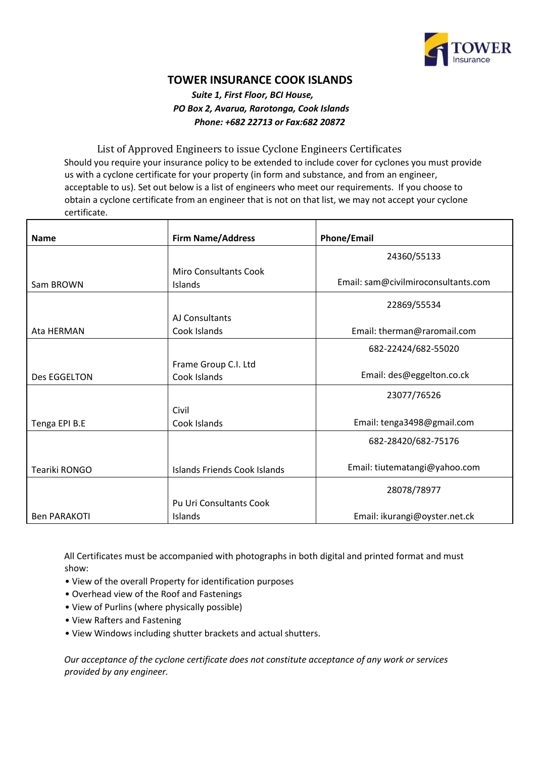

## **TOWER INSURANCE COOK ISLANDS**

## *Suite 1, First Floor, BCI House, PO Box 2, Avarua, Rarotonga, Cook Islands Phone: +682 22713 or Fax:682 20872*

List of Approved Engineers to issue Cyclone Engineers Certificates Should you require your insurance policy to be extended to include cover for cyclones you must provide us with a cyclone certificate for your property (in form and substance, and from an engineer, acceptable to us). Set out below is a list of engineers who meet our requirements. If you choose to obtain a cyclone certificate from an engineer that is not on that list, we may not accept your cyclone certificate.

| <b>Name</b>         | <b>Firm Name/Address</b>                | <b>Phone/Email</b>                  |
|---------------------|-----------------------------------------|-------------------------------------|
|                     |                                         | 24360/55133                         |
| Sam BROWN           | <b>Miro Consultants Cook</b><br>Islands | Email: sam@civilmiroconsultants.com |
|                     |                                         | 22869/55534                         |
|                     | AJ Consultants                          |                                     |
| Ata HERMAN          | Cook Islands                            | Email: therman@raromail.com         |
|                     |                                         | 682-22424/682-55020                 |
|                     | Frame Group C.I. Ltd                    |                                     |
| Des EGGELTON        | Cook Islands                            | Email: des@eggelton.co.ck           |
|                     |                                         | 23077/76526                         |
|                     | Civil                                   |                                     |
| Tenga EPI B.E       | Cook Islands                            | Email: tenga3498@gmail.com          |
|                     |                                         | 682-28420/682-75176                 |
| Teariki RONGO       | Islands Friends Cook Islands            | Email: tiutematangi@yahoo.com       |
|                     |                                         | 28078/78977                         |
|                     | <b>Pu Uri Consultants Cook</b>          |                                     |
| <b>Ben PARAKOTI</b> | Islands                                 | Email: ikurangi@oyster.net.ck       |

All Certificates must be accompanied with photographs in both digital and printed format and must show:

- View of the overall Property for identification purposes
- Overhead view of the Roof and Fastenings
- View of Purlins (where physically possible)
- View Rafters and Fastening
- View Windows including shutter brackets and actual shutters.

*Our acceptance of the cyclone certificate does not constitute acceptance of any work or services provided by any engineer.*